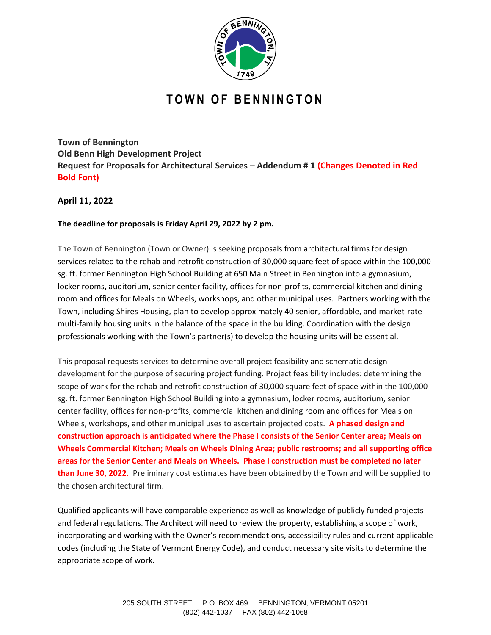

# **T O W N O F B E N N I N G T O N**

**Town of Bennington Old Benn High Development Project Request for Proposals for Architectural Services – Addendum # 1 (Changes Denoted in Red Bold Font)**

**April 11, 2022**

## **The deadline for proposals is Friday April 29, 2022 by 2 pm.**

The Town of Bennington (Town or Owner) is seeking proposals from architectural firms for design services related to the rehab and retrofit construction of 30,000 square feet of space within the 100,000 sg. ft. former Bennington High School Building at 650 Main Street in Bennington into a gymnasium, locker rooms, auditorium, senior center facility, offices for non-profits, commercial kitchen and dining room and offices for Meals on Wheels, workshops, and other municipal uses. Partners working with the Town, including Shires Housing, plan to develop approximately 40 senior, affordable, and market-rate multi-family housing units in the balance of the space in the building. Coordination with the design professionals working with the Town's partner(s) to develop the housing units will be essential.

This proposal requests services to determine overall project feasibility and schematic design development for the purpose of securing project funding. Project feasibility includes: determining the scope of work for the rehab and retrofit construction of 30,000 square feet of space within the 100,000 sg. ft. former Bennington High School Building into a gymnasium, locker rooms, auditorium, senior center facility, offices for non-profits, commercial kitchen and dining room and offices for Meals on Wheels, workshops, and other municipal uses to ascertain projected costs. **A phased design and construction approach is anticipated where the Phase I consists of the Senior Center area; Meals on Wheels Commercial Kitchen; Meals on Wheels Dining Area; public restrooms; and all supporting office areas for the Senior Center and Meals on Wheels. Phase I construction must be completed no later than June 30, 2022.** Preliminary cost estimates have been obtained by the Town and will be supplied to the chosen architectural firm.

Qualified applicants will have comparable experience as well as knowledge of publicly funded projects and federal regulations. The Architect will need to review the property, establishing a scope of work, incorporating and working with the Owner's recommendations, accessibility rules and current applicable codes (including the State of Vermont Energy Code), and conduct necessary site visits to determine the appropriate scope of work.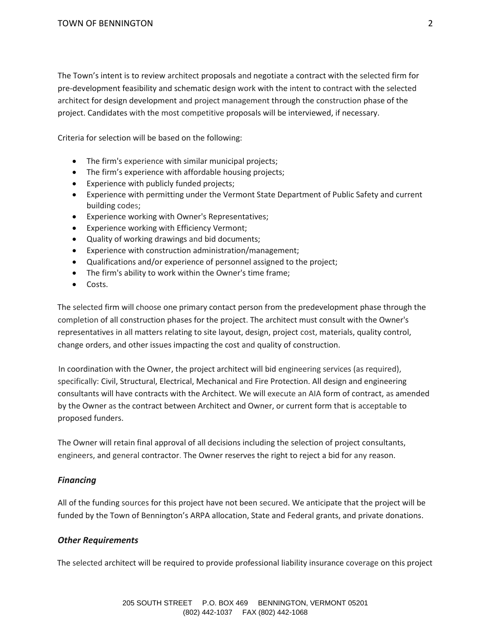The Town's intent is to review architect proposals and negotiate a contract with the selected firm for pre-development feasibility and schematic design work with the intent to contract with the selected architect for design development and project management through the construction phase of the project. Candidates with the most competitive proposals will be interviewed, if necessary.

Criteria for selection will be based on the following:

- The firm's experience with similar municipal projects;
- The firm's experience with affordable housing projects;
- Experience with publicly funded projects;
- Experience with permitting under the Vermont State Department of Public Safety and current building codes;
- Experience working with Owner's Representatives;
- Experience working with Efficiency Vermont;
- Quality of working drawings and bid documents;
- Experience with construction administration/management;
- Qualifications and/or experience of personnel assigned to the project;
- The firm's ability to work within the Owner's time frame;
- Costs.

The selected firm will choose one primary contact person from the predevelopment phase through the completion of all construction phases for the project. The architect must consult with the Owner's representatives in all matters relating to site layout, design, project cost, materials, quality control, change orders, and other issues impacting the cost and quality of construction.

In coordination with the Owner, the project architect will bid engineering services (as required), specifically: Civil, Structural, Electrical, Mechanical and Fire Protection. All design and engineering consultants will have contracts with the Architect. We will execute an AIA form of contract, as amended by the Owner as the contract between Architect and Owner, or current form that is acceptable to proposed funders.

The Owner will retain final approval of all decisions including the selection of project consultants, engineers, and general contractor. The Owner reserves the right to reject a bid for any reason.

#### *Financing*

All of the funding sources for this project have not been secured. We anticipate that the project will be funded by the Town of Bennington's ARPA allocation, State and Federal grants, and private donations.

## *Other Requirements*

The selected architect will be required to provide professional liability insurance coverage on this project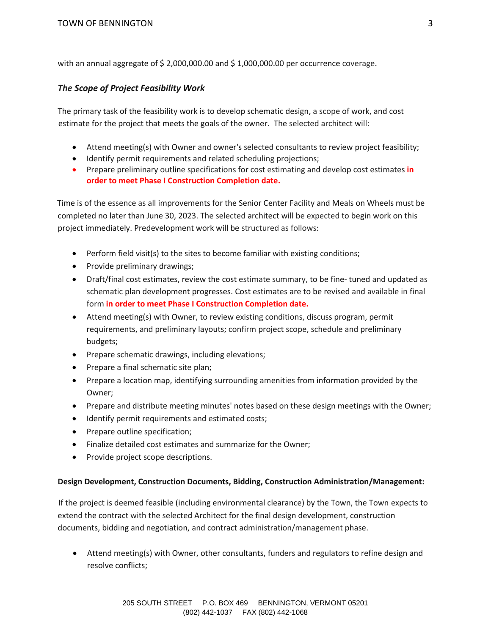with an annual aggregate of \$ 2,000,000.00 and \$ 1,000,000.00 per occurrence coverage.

## *The Scope of Project Feasibility Work*

The primary task of the feasibility work is to develop schematic design, a scope of work, and cost estimate for the project that meets the goals of the owner. The selected architect will:

- Attend meeting(s) with Owner and owner's selected consultants to review project feasibility;
- Identify permit requirements and related scheduling projections;
- Prepare preliminary outline specifications for cost estimating and develop cost estimates **in order to meet Phase I Construction Completion date.**

Time is of the essence as all improvements for the Senior Center Facility and Meals on Wheels must be completed no later than June 30, 2023. The selected architect will be expected to begin work on this project immediately. Predevelopment work will be structured as follows:

- Perform field visit(s) to the sites to become familiar with existing conditions;
- Provide preliminary drawings;
- Draft/final cost estimates, review the cost estimate summary, to be fine- tuned and updated as schematic plan development progresses. Cost estimates are to be revised and available in final form **in order to meet Phase I Construction Completion date.**
- Attend meeting(s) with Owner, to review existing conditions, discuss program, permit requirements, and preliminary layouts; confirm project scope, schedule and preliminary budgets;
- Prepare schematic drawings, including elevations;
- Prepare a final schematic site plan;
- Prepare a location map, identifying surrounding amenities from information provided by the Owner;
- Prepare and distribute meeting minutes' notes based on these design meetings with the Owner;
- Identify permit requirements and estimated costs;
- Prepare outline specification;
- Finalize detailed cost estimates and summarize for the Owner;
- Provide project scope descriptions.

## **Design Development, Construction Documents, Bidding, Construction Administration/Management:**

If the project is deemed feasible (including environmental clearance) by the Town, the Town expects to extend the contract with the selected Architect for the final design development, construction documents, bidding and negotiation, and contract administration/management phase.

• Attend meeting(s) with Owner, other consultants, funders and regulators to refine design and resolve conflicts;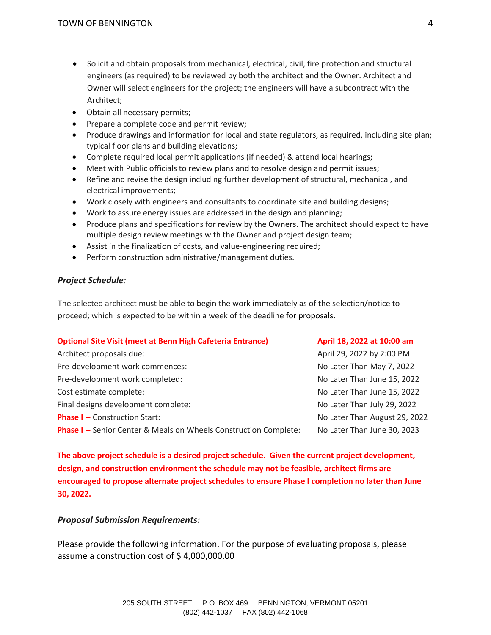- Solicit and obtain proposals from mechanical, electrical, civil, fire protection and structural engineers (as required) to be reviewed by both the architect and the Owner. Architect and Owner will select engineers for the project; the engineers will have a subcontract with the Architect;
- Obtain all necessary permits;
- Prepare a complete code and permit review;
- Produce drawings and information for local and state regulators, as required, including site plan; typical floor plans and building elevations;
- Complete required local permit applications (if needed) & attend local hearings;
- Meet with Public officials to review plans and to resolve design and permit issues;
- Refine and revise the design including further development of structural, mechanical, and electrical improvements;
- Work closely with engineers and consultants to coordinate site and building designs;
- Work to assure energy issues are addressed in the design and planning;
- Produce plans and specifications for review by the Owners. The architect should expect to have multiple design review meetings with the Owner and project design team;
- Assist in the finalization of costs, and value-engineering required;
- Perform construction administrative/management duties.

## *Project Schedule:*

The selected architect must be able to begin the work immediately as of the selection/notice to proceed; which is expected to be within a week of the deadline for proposals.

| <b>Optional Site Visit (meet at Benn High Cafeteria Entrance)</b>        | April 18, 2022 at 10:00 am    |
|--------------------------------------------------------------------------|-------------------------------|
| Architect proposals due:                                                 | April 29, 2022 by 2:00 PM     |
| Pre-development work commences:                                          | No Later Than May 7, 2022     |
| Pre-development work completed:                                          | No Later Than June 15, 2022   |
| Cost estimate complete:                                                  | No Later Than June 15, 2022   |
| Final designs development complete:                                      | No Later Than July 29, 2022   |
| <b>Phase I -- Construction Start:</b>                                    | No Later Than August 29, 2022 |
| <b>Phase I --</b> Senior Center & Meals on Wheels Construction Complete: | No Later Than June 30, 2023   |

**The above project schedule is a desired project schedule. Given the current project development, design, and construction environment the schedule may not be feasible, architect firms are encouraged to propose alternate project schedules to ensure Phase I completion no later than June 30, 2022.**

## *Proposal Submission Requirements:*

Please provide the following information. For the purpose of evaluating proposals, please assume a construction cost of \$ 4,000,000.00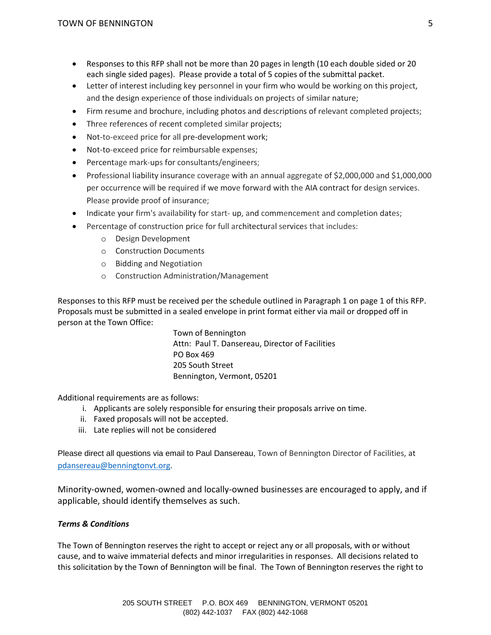- Responses to this RFP shall not be more than 20 pages in length (10 each double sided or 20 each single sided pages). Please provide a total of 5 copies of the submittal packet.
- Letter of interest including key personnel in your firm who would be working on this project, and the design experience of those individuals on projects of similar nature;
- Firm resume and brochure, including photos and descriptions of relevant completed projects;
- Three references of recent completed similar projects;
- Not-to-exceed price for all pre-development work;
- Not-to-exceed price for reimbursable expenses;
- Percentage mark-ups for consultants/engineers;
- Professional liability insurance coverage with an annual aggregate of \$2,000,000 and \$1,000,000 per occurrence will be required if we move forward with the AIA contract for design services. Please provide proof of insurance;
- Indicate your firm's availability for start- up, and commencement and completion dates;
- Percentage of construction price for full architectural services that includes:
	- o Design Development
	- o Construction Documents
	- o Bidding and Negotiation
	- o Construction Administration/Management

Responses to this RFP must be received per the schedule outlined in Paragraph 1 on page 1 of this RFP. Proposals must be submitted in a sealed envelope in print format either via mail or dropped off in person at the Town Office:

> Town of Bennington Attn: Paul T. Dansereau, Director of Facilities PO Box 469 205 South Street Bennington, Vermont, 05201

Additional requirements are as follows:

- i. Applicants are solely responsible for ensuring their proposals arrive on time.
- ii. Faxed proposals will not be accepted.
- iii. Late replies will not be considered

Please direct all questions via email to Paul Dansereau, Town of Bennington Director of Facilities, at [pdansereau@benningtonvt.org.](mailto:pdansereau@benningtonvt.org)

Minority-owned, women-owned and locally-owned businesses are encouraged to apply, and if applicable, should identify themselves as such.

## *Terms & Conditions*

The Town of Bennington reserves the right to accept or reject any or all proposals, with or without cause, and to waive immaterial defects and minor irregularities in responses. All decisions related to this solicitation by the Town of Bennington will be final. The Town of Bennington reserves the right to